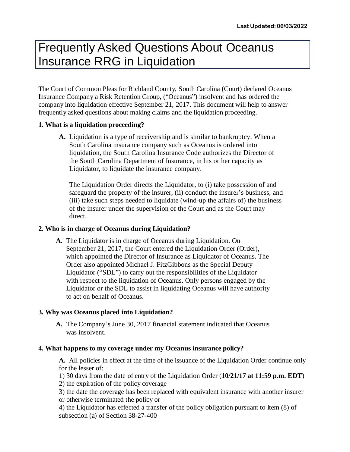# Frequently Asked Questions About Oceanus Insurance RRG in Liquidation

The Court of Common Pleas for Richland County, South Carolina (Court) declared Oceanus Insurance Company a Risk Retention Group, ("Oceanus") insolvent and has ordered the company into liquidation effective September 21, 2017. This document will help to answer frequently asked questions about making claims and the liquidation proceeding.

# **1. What is a liquidation proceeding?**

**A.** Liquidation is a type of receivership and is similar to bankruptcy. When a South Carolina insurance company such as Oceanus is ordered into liquidation, the South Carolina Insurance Code authorizes the Director of the South Carolina Department of Insurance, in his or her capacity as Liquidator, to liquidate the insurance company.

The Liquidation Order directs the Liquidator, to (i) take possession of and safeguard the property of the insurer, (ii) conduct the insurer's business, and (iii) take such steps needed to liquidate (wind-up the affairs of) the business of the insurer under the supervision of the Court and as the Court may direct.

# **2. Who is in charge of Oceanus during Liquidation?**

**A.** The Liquidator is in charge of Oceanus during Liquidation. On September 21, 2017, the Court entered the Liquidation Order (Order), which appointed the Director of Insurance as Liquidator of Oceanus. The Order also appointed Michael J. FitzGibbons as the Special Deputy Liquidator ("SDL") to carry out the responsibilities of the Liquidator with respect to the liquidation of Oceanus. Only persons engaged by the Liquidator or the SDL to assist in liquidating Oceanus will have authority to act on behalf of Oceanus.

# **3. Why was Oceanus placed into Liquidation?**

**A.** The Company's June 30, 2017 financial statement indicated that Oceanus was insolvent.

# **4. What happens to my coverage under my Oceanus insurance policy?**

**A.** All policies in effect at the time of the issuance of the Liquidation Order continue only for the lesser of:

1) 30 days from the date of entry of the Liquidation Order (**10/21/17 at 11:59 p.m. EDT**) 2) the expiration of the policy coverage

3) the date the coverage has been replaced with equivalent insurance with another insurer or otherwise terminated the policy or

4) the Liquidator has effected a transfer of the policy obligation pursuant to Item (8) of subsection (a) of Section 38-27-400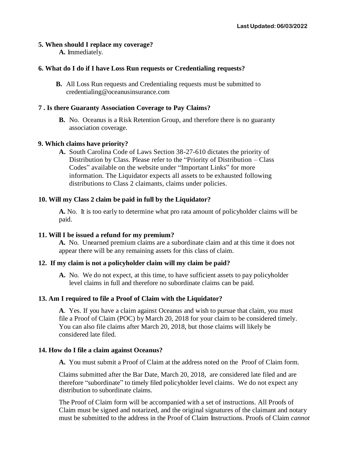## **5. When should I replace my coverage?**

**A.** Immediately.

# **6. What do I do if I have Loss Run requests or Credentialing requests?**

**B.** All Loss Run requests and Credentialing requests must be submitted t[o](mailto:credentialing@oceanusinsurance.com) [credentialing@oceanusinsurance.com](mailto:credentialing@oceanusinsurance.com)

## **7 . Is there Guaranty Association Coverage to Pay Claims?**

**B.** No. Oceanus is a Risk Retention Group, and therefore there is no guaranty association coverage.

## **9. Which claims have priority?**

**A.** South Carolina Code of Laws Section 38-27-610 dictates the priority of Distribution by Class. Please refer to the "Priority of Distribution – Class Codes" available on the website under "Important Links" for more information. The Liquidator expects all assets to be exhausted following distributions to Class 2 claimants, claims under policies.

# **10. Will my Class 2 claim be paid in full by the Liquidator?**

**A.** No. It is too early to determine what pro rata amount of policyholder claims will be paid.

#### **11. Will I be issued a refund for my premium?**

**A.** No. Unearned premium claims are a subordinate claim and at this time it does not appear there will be any remaining assets for this class of claim.

#### **12. If my claim is not a policyholder claim will my claim be paid?**

**A.** No. We do not expect, at this time, to have sufficient assets to pay policyholder level claims in full and therefore no subordinate claims can be paid.

# **13. Am I required to file a Proof of Claim with the Liquidator?**

**A**. Yes. If you have a claim against Oceanus and wish to pursue that claim, you must file a Proof of Claim (POC) by March 20, 2018 for your claim to be considered timely. You can also file claims after March 20, 2018, but those claims will likely be considered late filed.

#### **14. How do I file a claim against Oceanus?**

**A.** You must submit a Proof of Claim at the address noted on the Proof of Claim form.

Claims submitted after the Bar Date, March 20, 2018, are considered late filed and are therefore "subordinate" to timely filed policyholder level claims. We do not expect any distribution to subordinate claims.

The Proof of Claim form will be accompanied with a set of instructions. All Proofs of Claim must be signed and notarized, and the original signatures of the claimant and notary must be submitted to the address in the Proof of Claim Instructions. Proofs of Claim *cannot*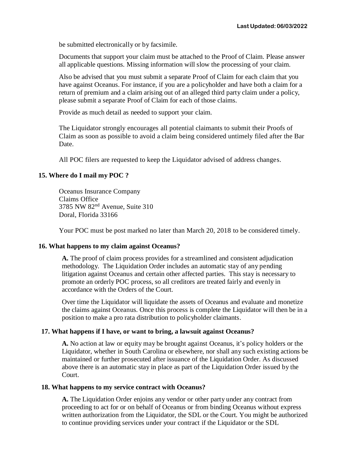be submitted electronically or by facsimile.

Documents that support your claim must be attached to the Proof of Claim. Please answer all applicable questions. Missing information will slow the processing of your claim.

Also be advised that you must submit a separate Proof of Claim for each claim that you have against Oceanus. For instance, if you are a policyholder and have both a claim for a return of premium and a claim arising out of an alleged third party claim under a policy, please submit a separate Proof of Claim for each of those claims.

Provide as much detail as needed to support your claim.

The Liquidator strongly encourages all potential claimants to submit their Proofs of Claim as soon as possible to avoid a claim being considered untimely filed after the Bar Date.

All POC filers are requested to keep the Liquidator advised of address changes.

#### **15. Where do I mail my POC ?**

Oceanus Insurance Company Claims Office 3785 NW 82nd Avenue, Suite 310 Doral, Florida 33166

Your POC must be post marked no later than March 20, 2018 to be considered timely.

#### **16. What happens to my claim against Oceanus?**

**A.** The proof of claim process provides for a streamlined and consistent adjudication methodology. The Liquidation Order includes an automatic stay of any pending litigation against Oceanus and certain other affected parties. This stay is necessary to promote an orderly POC process, so all creditors are treated fairly and evenly in accordance with the Orders of the Court.

Over time the Liquidator will liquidate the assets of Oceanus and evaluate and monetize the claims against Oceanus. Once this process is complete the Liquidator will then be in a position to make a pro rata distribution to policyholder claimants.

#### **17. What happens if I have, or want to bring, a lawsuit against Oceanus?**

**A.** No action at law or equity may be brought against Oceanus, it's policy holders or the Liquidator, whether in South Carolina or elsewhere, nor shall any such existing actions be maintained or further prosecuted after issuance of the Liquidation Order. As discussed above there is an automatic stay in place as part of the Liquidation Order issued by the Court.

#### **18. What happens to my service contract with Oceanus?**

**A.** The Liquidation Order enjoins any vendor or other party under any contract from proceeding to act for or on behalf of Oceanus or from binding Oceanus without express written authorization from the Liquidator, the SDL or the Court. You might be authorized to continue providing services under your contract if the Liquidator or the SDL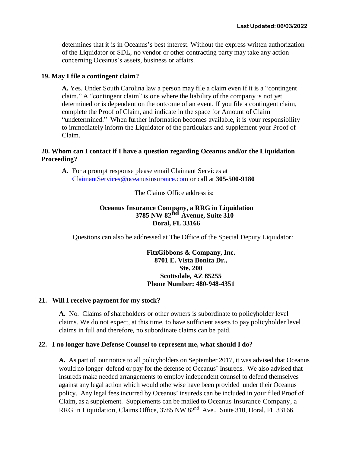determines that it is in Oceanus's best interest. Without the express written authorization of the Liquidator or SDL, no vendor or other contracting party may take any action concerning Oceanus's assets, business or affairs.

#### **19. May I file a contingent claim?**

**A.** Yes. Under South Carolina law a person may file a claim even if it is a "contingent claim." A "contingent claim" is one where the liability of the company is not yet determined or is dependent on the outcome of an event. If you file a contingent claim, complete the Proof of Claim, and indicate in the space for Amount of Claim "undetermined." When further information becomes available, it is your responsibility to immediately inform the Liquidator of the particulars and supplement your Proof of Claim.

## **20. Whom can I contact if I have a question regarding Oceanus and/or the Liquidation Proceeding?**

**A.** For a prompt response please email Claimant Services at [ClaimantServices@oceanusinsurance.com](mailto:ClaimantServices@oceanusinsurance.com) or call at **305-500-9180**

The Claims Office address is:

## **Oceanus Insurance Company, a RRG in Liquidation 3785 NW 82nd Avenue, Suite 310 Doral, FL 33166**

Questions can also be addressed at The Office of the Special Deputy Liquidator:

# **FitzGibbons & Company, Inc. 8701 E. Vista Bonita Dr., Ste. 200 Scottsdale, AZ 85255 Phone Number: 480-948-4351**

#### **21. Will I receive payment for my stock?**

**A.** No. Claims of shareholders or other owners is subordinate to policyholder level claims. We do not expect, at this time, to have sufficient assets to pay policyholder level claims in full and therefore, no subordinate claims can be paid.

#### **22. I no longer have Defense Counsel to represent me, what should I do?**

**A.** As part of our notice to all policyholders on September 2017, it was advised that Oceanus would no longer defend or pay for the defense of Oceanus' Insureds. We also advised that insureds make needed arrangements to employ independent counsel to defend themselves against any legal action which would otherwise have been provided under their Oceanus policy. Any legal fees incurred by Oceanus' insureds can be included in your filed Proof of Claim, as a supplement. Supplements can be mailed to Oceanus Insurance Company, a RRG in Liquidation, Claims Office, 3785 NW 82<sup>nd</sup> Ave., Suite 310, Doral, FL 33166.